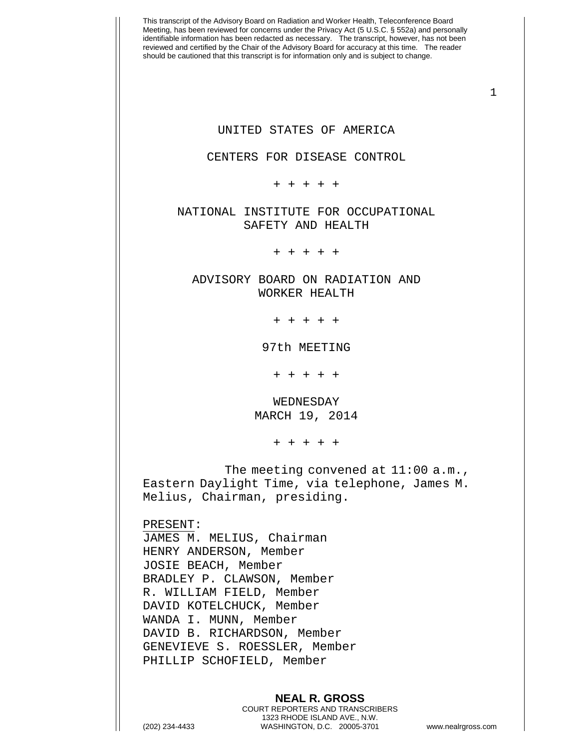This transcript of the Advisory Board on Radiation and Worker Health, Teleconference Board Meeting, has been reviewed for concerns under the Privacy Act (5 U.S.C. § 552a) and personally identifiable information has been redacted as necessary. The transcript, however, has not been reviewed and certified by the Chair of the Advisory Board for accuracy at this time. The reader should be cautioned that this transcript is for information only and is subject to change. 1 **NEAL R. GROSS** COURT REPORTERS AND TRANSCRIBERS 1323 RHODE ISLAND AVE., N.W. UNITED STATES OF AMERICA CENTERS FOR DISEASE CONTROL + + + + + NATIONAL INSTITUTE FOR OCCUPATIONAL SAFETY AND HEALTH + + + + + ADVISORY BOARD ON RADIATION AND WORKER HEALTH + + + + + 97th MEETING + + + + + WEDNESDAY MARCH 19, 2014 + + + + + The meeting convened at 11:00 a.m., Eastern Daylight Time, via telephone, James M. Melius, Chairman, presiding. PRESENT: JAMES M. MELIUS, Chairman HENRY ANDERSON, Member JOSIE BEACH, Member BRADLEY P. CLAWSON, Member R. WILLIAM FIELD, Member DAVID KOTELCHUCK, Member WANDA I. MUNN, Member DAVID B. RICHARDSON, Member GENEVIEVE S. ROESSLER, Member PHILLIP SCHOFIELD, Member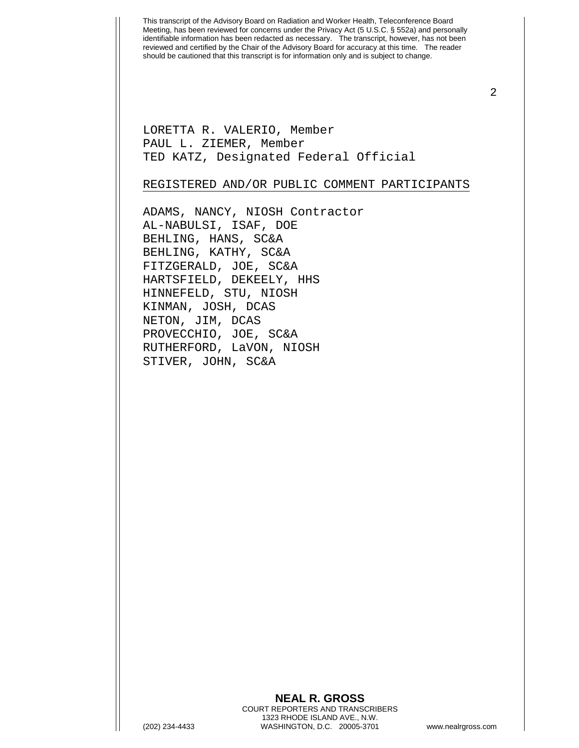LORETTA R. VALERIO, Member PAUL L. ZIEMER, Member TED KATZ, Designated Federal Official

## REGISTERED AND/OR PUBLIC COMMENT PARTICIPANTS

ADAMS, NANCY, NIOSH Contractor AL-NABULSI, ISAF, DOE BEHLING, HANS, SC&A BEHLING, KATHY, SC&A FITZGERALD, JOE, SC&A HARTSFIELD, DEKEELY, HHS HINNEFELD, STU, NIOSH KINMAN, JOSH, DCAS NETON, JIM, DCAS PROVECCHIO, JOE, SC&A RUTHERFORD, LaVON, NIOSH STIVER, JOHN, SC&A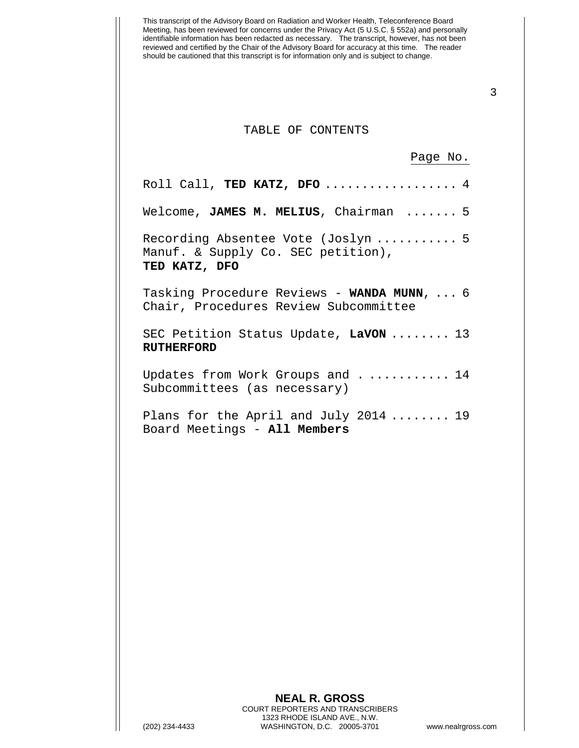## TABLE OF CONTENTS

Page No.

| Roll Call, TED KATZ, DFO $4$                                                              |
|-------------------------------------------------------------------------------------------|
| Welcome, JAMES M. MELIUS, Chairman  5                                                     |
| Recording Absentee Vote (Joslyn  5<br>Manuf. & Supply Co. SEC petition),<br>TED KATZ, DFO |
| Tasking Procedure Reviews - WANDA MUNN,  6<br>Chair, Procedures Review Subcommittee       |
| SEC Petition Status Update, LaVON  13<br><b>RUTHERFORD</b>                                |
| Updates from Work Groups and 14<br>Subcommittees (as necessary)                           |
| Plans for the April and July 2014  19<br>Board Meetings - All Members                     |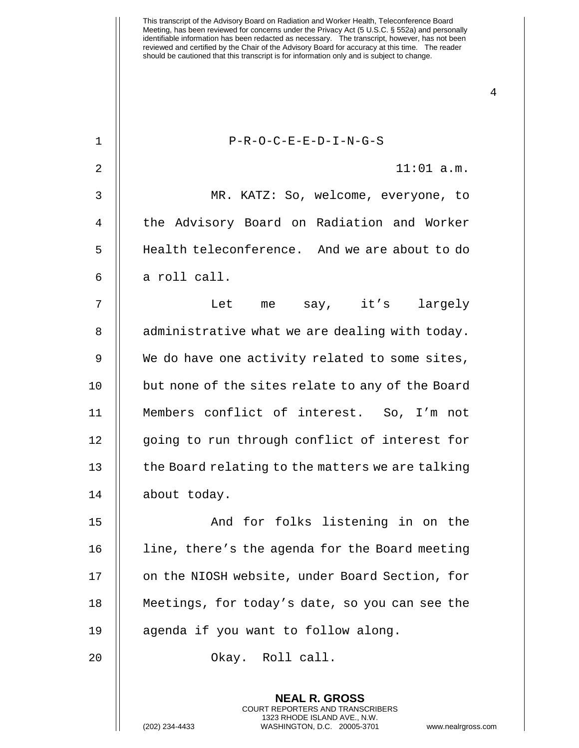This transcript of the Advisory Board on Radiation and Worker Health, Teleconference Board Meeting, has been reviewed for concerns under the Privacy Act (5 U.S.C. § 552a) and personally identifiable information has been redacted as necessary. The transcript, however, has not been reviewed and certified by the Chair of the Advisory Board for accuracy at this time. The reader should be cautioned that this transcript is for information only and is subject to change. 1 || P-R-O-C-E-E-D-I-N-G-S 2 11:01 a.m. 3 MR. KATZ: So, welcome, everyone, to 4 || the Advisory Board on Radiation and Worker

5 Health teleconference. And we are about to do  $6 \parallel$  a roll call.

7 || Let me say, it's largely  $8$  | administrative what we are dealing with today. 9 || We do have one activity related to some sites, 10 || but none of the sites relate to any of the Board 11 Members conflict of interest. So, I'm not 12 || going to run through conflict of interest for 13 | the Board relating to the matters we are talking 14 about today.

15 || The Mand for folks listening in on the 16 | line, there's the agenda for the Board meeting 17 | on the NIOSH website, under Board Section, for 18 Meetings, for today's date, so you can see the 19 || agenda if you want to follow along.

20 || Chay. Roll call.

**NEAL R. GROSS** COURT REPORTERS AND TRANSCRIBERS 1323 RHODE ISLAND AVE., N.W.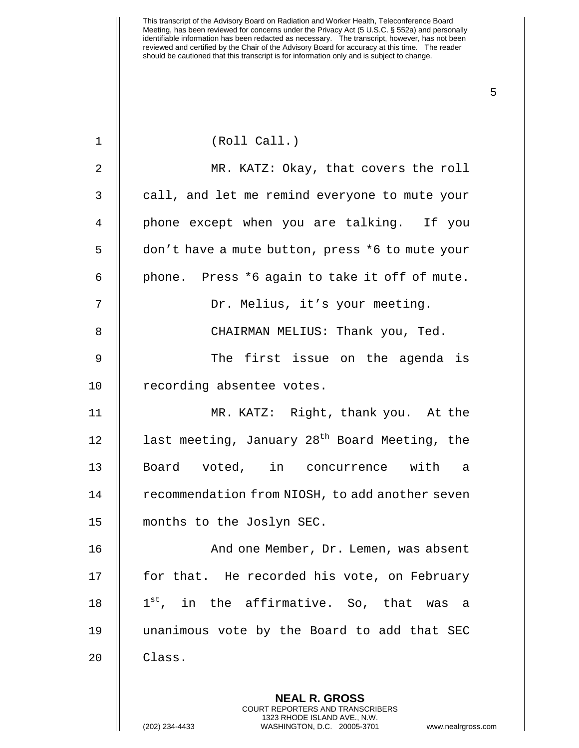| 1           | (Roll Call.)                                              |
|-------------|-----------------------------------------------------------|
| 2           | MR. KATZ: Okay, that covers the roll                      |
| 3           | call, and let me remind everyone to mute your             |
| 4           | phone except when you are talking. If you                 |
| 5           | don't have a mute button, press *6 to mute your           |
| 6           | phone. Press *6 again to take it off of mute.             |
| 7           | Dr. Melius, it's your meeting.                            |
| 8           | CHAIRMAN MELIUS: Thank you, Ted.                          |
| $\mathsf 9$ | The first issue on the agenda is                          |
| 10          | recording absentee votes.                                 |
| 11          | MR. KATZ: Right, thank you. At the                        |
| 12          | last meeting, January 28 <sup>th</sup> Board Meeting, the |
| 13          | Board voted, in concurrence with a                        |
| 14          | recommendation from NIOSH, to add another seven           |
| 15          | months to the Joslyn SEC.                                 |
| 16          | And one Member, Dr. Lemen, was absent                     |
| 17          | for that. He recorded his vote, on February               |
| 18          | 1 <sup>st</sup> , in the affirmative. So, that was<br>a a |
| 19          | unanimous vote by the Board to add that SEC               |
| 20          | Class.                                                    |
|             |                                                           |
|             | <b>NEAL R. GROSS</b>                                      |

COURT REPORTERS AND TRANSCRIBERS 1323 RHODE ISLAND AVE., N.W.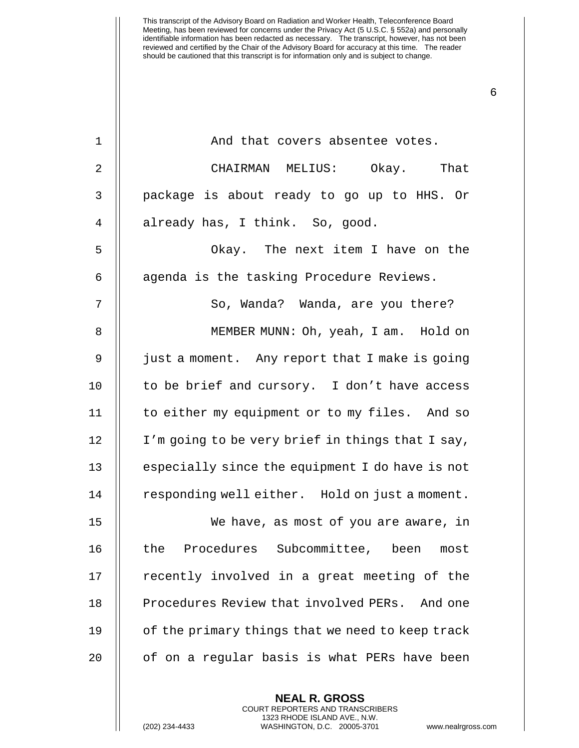| $\mathbf 1$    | And that covers absentee votes.                  |
|----------------|--------------------------------------------------|
| $\overline{2}$ | CHAIRMAN MELIUS: Okay. That                      |
| 3              | package is about ready to go up to HHS. Or       |
| 4              | already has, I think. So, good.                  |
| 5              | Okay. The next item I have on the                |
| 6              | agenda is the tasking Procedure Reviews.         |
| 7              | So, Wanda? Wanda, are you there?                 |
| 8              | MEMBER MUNN: Oh, yeah, I am. Hold on             |
| $\mathsf 9$    | just a moment. Any report that I make is going   |
| 10             | to be brief and cursory. I don't have access     |
| 11             | to either my equipment or to my files. And so    |
| 12             | I'm going to be very brief in things that I say, |
| 13             | especially since the equipment I do have is not  |
| 14             | responding well either. Hold on just a moment.   |
| 15             | We have, as most of you are aware, in            |
| 16             | the Procedures Subcommittee, been most           |
| 17             | recently involved in a great meeting of the      |
| 18             | Procedures Review that involved PERs. And one    |
| 19             | of the primary things that we need to keep track |
| 20             | of on a regular basis is what PERs have been     |
|                |                                                  |

**NEAL R. GROSS** COURT REPORTERS AND TRANSCRIBERS 1323 RHODE ISLAND AVE., N.W.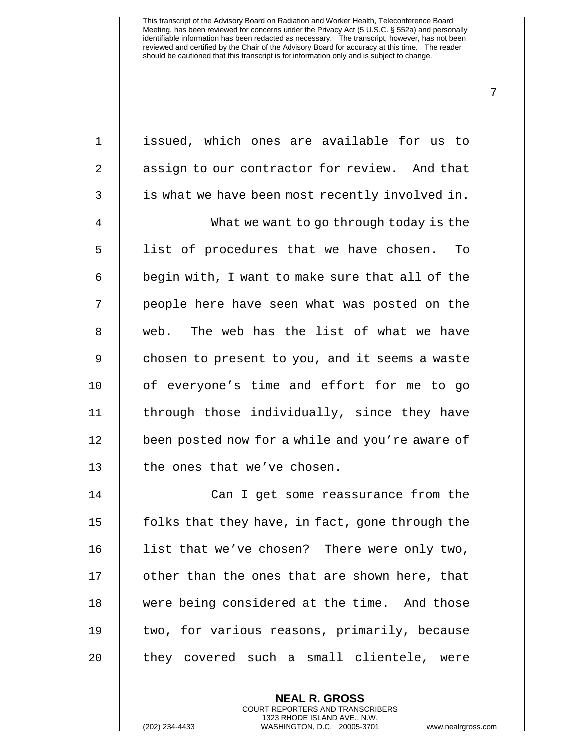| $\mathbf 1$    | issued, which ones are available for us to      |
|----------------|-------------------------------------------------|
| $\overline{a}$ | assign to our contractor for review. And that   |
| 3              | is what we have been most recently involved in. |
| $\overline{4}$ | What we want to go through today is the         |
| 5              | list of procedures that we have chosen.<br>To   |
| 6              | begin with, I want to make sure that all of the |
| 7              | people here have seen what was posted on the    |
| 8              | web. The web has the list of what we have       |
| $\mathsf 9$    | chosen to present to you, and it seems a waste  |
| 10             | of everyone's time and effort for me to go      |
| 11             | through those individually, since they have     |
| 12             | been posted now for a while and you're aware of |
| 13             | the ones that we've chosen.                     |
| 14             | Can I get some reassurance from the             |
| 15             | folks that they have, in fact, gone through the |
| 16             | list that we've chosen? There were only two,    |
| 17             | other than the ones that are shown here, that   |
| 18             | were being considered at the time. And those    |
| 19             | two, for various reasons, primarily, because    |
| 20             | they covered such a small clientele, were       |
|                |                                                 |

**NEAL R. GROSS** COURT REPORTERS AND TRANSCRIBERS 1323 RHODE ISLAND AVE., N.W.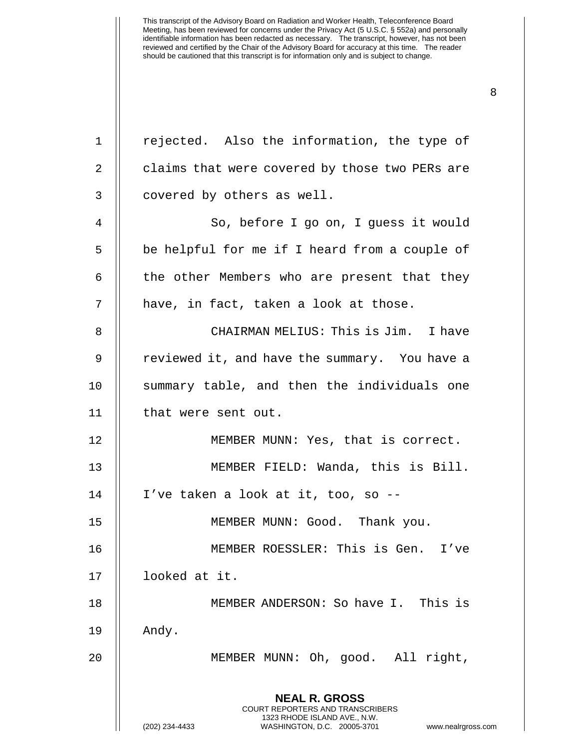| $\mathbf 1$    | rejected. Also the information, the type of                                                                                                                            |
|----------------|------------------------------------------------------------------------------------------------------------------------------------------------------------------------|
| 2              | claims that were covered by those two PERs are                                                                                                                         |
|                |                                                                                                                                                                        |
| 3              | covered by others as well.                                                                                                                                             |
| $\overline{4}$ | So, before I go on, I guess it would                                                                                                                                   |
| 5              | be helpful for me if I heard from a couple of                                                                                                                          |
| 6              | the other Members who are present that they                                                                                                                            |
| 7              | have, in fact, taken a look at those.                                                                                                                                  |
| 8              | CHAIRMAN MELIUS: This is Jim. I have                                                                                                                                   |
| 9              | reviewed it, and have the summary. You have a                                                                                                                          |
| 10             | summary table, and then the individuals one                                                                                                                            |
| 11             | that were sent out.                                                                                                                                                    |
| 12             | MEMBER MUNN: Yes, that is correct.                                                                                                                                     |
| 13             | MEMBER FIELD: Wanda, this is Bill.                                                                                                                                     |
| 14             | I've taken a look at it, too, so --                                                                                                                                    |
| 15             | MEMBER MUNN: Good. Thank you.                                                                                                                                          |
| 16             | MEMBER ROESSLER: This is Gen. I've                                                                                                                                     |
| 17             | looked at it.                                                                                                                                                          |
| 18             | MEMBER ANDERSON: So have I. This is                                                                                                                                    |
| 19             | Andy.                                                                                                                                                                  |
| 20             | MEMBER MUNN: Oh, good. All right,                                                                                                                                      |
|                | <b>NEAL R. GROSS</b><br><b>COURT REPORTERS AND TRANSCRIBERS</b><br>1323 RHODE ISLAND AVE., N.W.<br>(202) 234-4433<br>WASHINGTON, D.C. 20005-3701<br>www.nealrgross.com |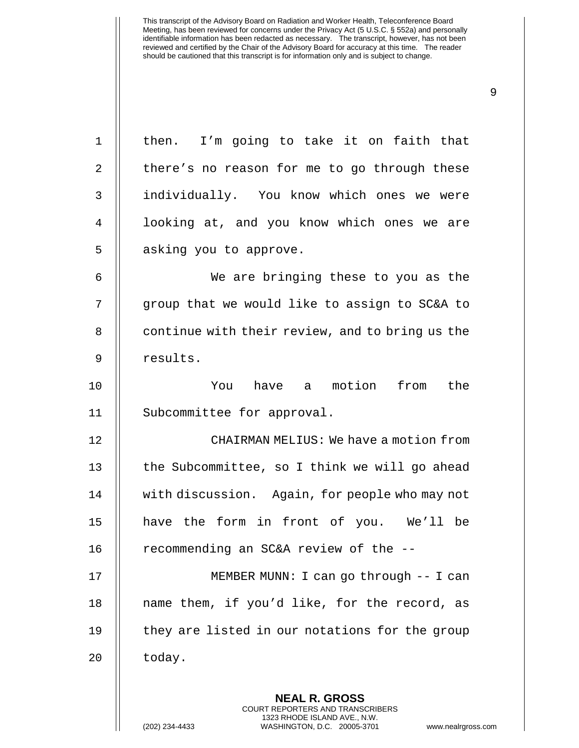| $\mathbf 1$    | then. I'm going to take it on faith that                 |
|----------------|----------------------------------------------------------|
| $\overline{2}$ | there's no reason for me to go through these             |
| $\mathbf{3}$   | individually. You know which ones we were                |
| 4              | looking at, and you know which ones we are               |
| 5              | asking you to approve.                                   |
| 6              | We are bringing these to you as the                      |
| 7              | group that we would like to assign to SC&A to            |
| 8              | continue with their review, and to bring us the          |
| 9              | results.                                                 |
| 10             | You have a motion from the                               |
| 11             | Subcommittee for approval.                               |
| 12             | CHAIRMAN MELIUS: We have a motion from                   |
| 13             | the Subcommittee, so I think we will go ahead            |
| 14             | with discussion. Again, for people who may not           |
| 15             | have the form in front of you. We'll be                  |
| 16             | recommending an SC&A review of the --                    |
| 17             | MEMBER MUNN: I can go through -- I can                   |
| 18             | name them, if you'd like, for the record, as             |
| 19             | they are listed in our notations for the group           |
| 20             | today.                                                   |
|                |                                                          |
|                | <b>NEAL R. GROSS</b><br>COURT REPORTERS AND TRANSCRIBERS |

1323 RHODE ISLAND AVE., N.W.

 $\prod$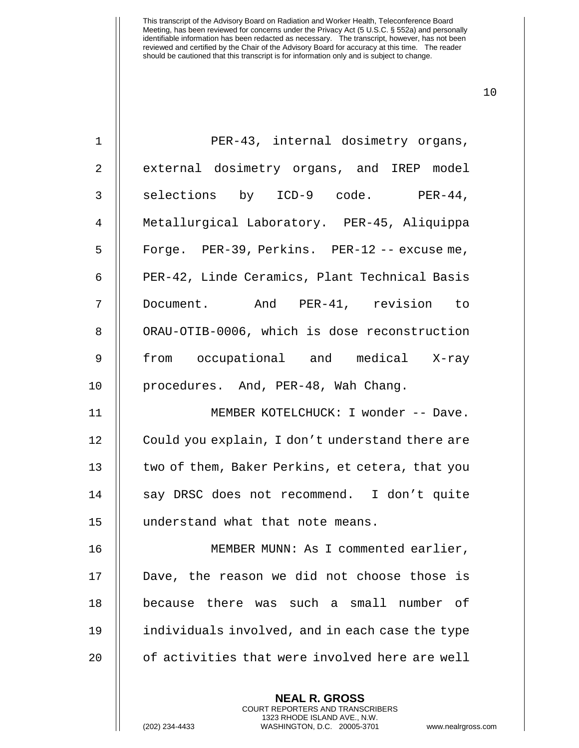| $\mathbf 1$    | PER-43, internal dosimetry organs,              |
|----------------|-------------------------------------------------|
| 2              | external dosimetry organs, and IREP model       |
| $\mathfrak{Z}$ | selections by ICD-9 code. PER-44,               |
| $\overline{4}$ | Metallurgical Laboratory. PER-45, Aliquippa     |
| 5              | Forge. PER-39, Perkins. PER-12 -- excuse me,    |
| 6              | PER-42, Linde Ceramics, Plant Technical Basis   |
| 7              | Document. And PER-41, revision to               |
| 8              | ORAU-OTIB-0006, which is dose reconstruction    |
| 9              | from occupational and medical X-ray             |
| 10             | procedures. And, PER-48, Wah Chang.             |
| 11             | MEMBER KOTELCHUCK: I wonder -- Dave.            |
| 12             | Could you explain, I don't understand there are |
| 13             | two of them, Baker Perkins, et cetera, that you |
| 14             | say DRSC does not recommend. I don't quite      |
| 15             | understand what that note means.                |
| 16             | MEMBER MUNN: As I commented earlier,            |
| 17             | Dave, the reason we did not choose those is     |
| 18             | because there was such a small number of        |
| 19             | individuals involved, and in each case the type |
| 20             | of activities that were involved here are well  |
|                |                                                 |

**NEAL R. GROSS** COURT REPORTERS AND TRANSCRIBERS 1323 RHODE ISLAND AVE., N.W.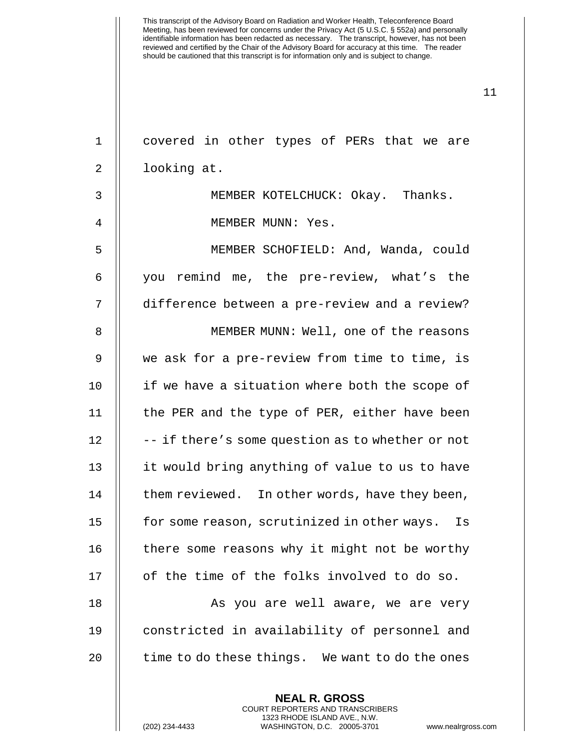1 covered in other types of PERs that we are 2 | looking at. 3 MEMBER KOTELCHUCK: Okay. Thanks. 4 || MEMBER MUNN: Yes. 5 MEMBER SCHOFIELD: And, Wanda, could 6 you remind me, the pre-review, what's the 7 difference between a pre-review and a review? 8 || MEMBER MUNN: Well, one of the reasons 9 we ask for a pre-review from time to time, is 10 || if we have a situation where both the scope of 11 || the PER and the type of PER, either have been  $12$   $\parallel$  -- if there's some question as to whether or not 13 || it would bring anything of value to us to have  $14$  | them reviewed. In other words, have they been, 15 | for some reason, scrutinized in other ways. Is  $16$   $\parallel$  there some reasons why it might not be worthy 17 || of the time of the folks involved to do so. 18 || As you are well aware, we are very 19 constricted in availability of personnel and  $20$   $\parallel$  time to do these things. We want to do the ones

> **NEAL R. GROSS** COURT REPORTERS AND TRANSCRIBERS 1323 RHODE ISLAND AVE., N.W.

(202) 234-4433 WASHINGTON, D.C. 20005-3701 www.nealrgross.com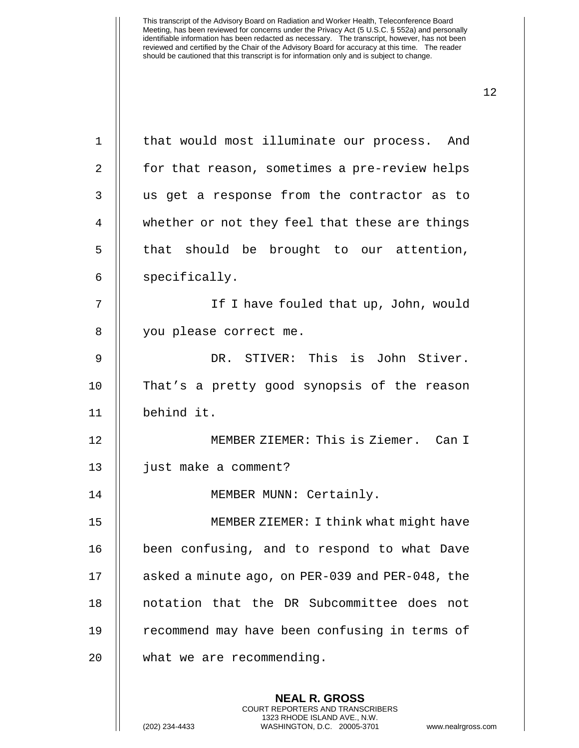| $\mathbf 1$    | that would most illuminate our process. And                                                                                                                         |
|----------------|---------------------------------------------------------------------------------------------------------------------------------------------------------------------|
| $\overline{2}$ | for that reason, sometimes a pre-review helps                                                                                                                       |
| 3              | us get a response from the contractor as to                                                                                                                         |
| 4              | whether or not they feel that these are things                                                                                                                      |
| 5              | that should be brought to our attention,                                                                                                                            |
| 6              | specifically.                                                                                                                                                       |
| 7              | If I have fouled that up, John, would                                                                                                                               |
| 8              | you please correct me.                                                                                                                                              |
| 9              | DR. STIVER: This is John Stiver.                                                                                                                                    |
| 10             | That's a pretty good synopsis of the reason                                                                                                                         |
| 11             | behind it.                                                                                                                                                          |
| 12             | MEMBER ZIEMER: This is Ziemer. Can I                                                                                                                                |
| 13             | just make a comment?                                                                                                                                                |
| 14             | MEMBER MUNN: Certainly.                                                                                                                                             |
| 15             | MEMBER ZIEMER: I think what might have                                                                                                                              |
| 16             | been confusing, and to respond to what Dave                                                                                                                         |
| 17             | asked a minute ago, on PER-039 and PER-048, the                                                                                                                     |
| 18             | notation that the DR Subcommittee does not                                                                                                                          |
| 19             | recommend may have been confusing in terms of                                                                                                                       |
| 20             | what we are recommending.                                                                                                                                           |
|                | <b>NEAL R. GROSS</b><br><b>COURT REPORTERS AND TRANSCRIBERS</b><br>1323 RHODE ISLAND AVE., N.W.<br>(202) 234-4433<br>WASHINGTON, D.C. 20005-3701<br>www.nealrgross. |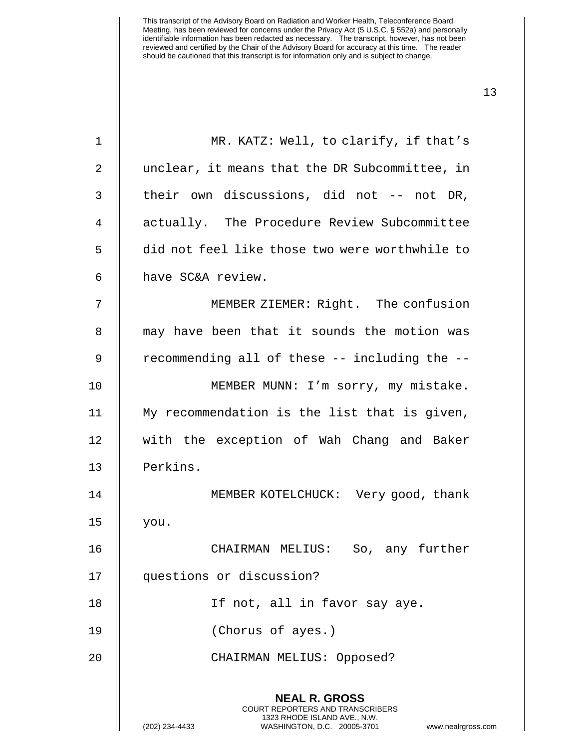| 1  | MR. KATZ: Well, to clarify, if that's                                                                                                                                  |
|----|------------------------------------------------------------------------------------------------------------------------------------------------------------------------|
| 2  | unclear, it means that the DR Subcommittee, in                                                                                                                         |
| 3  | their own discussions, did not -- not DR,                                                                                                                              |
| 4  | actually. The Procedure Review Subcommittee                                                                                                                            |
| 5  | did not feel like those two were worthwhile to                                                                                                                         |
| 6  | have SC&A review.                                                                                                                                                      |
| 7  | MEMBER ZIEMER: Right. The confusion                                                                                                                                    |
| 8  | may have been that it sounds the motion was                                                                                                                            |
| 9  | recommending all of these -- including the --                                                                                                                          |
| 10 | MEMBER MUNN: I'm sorry, my mistake.                                                                                                                                    |
| 11 | My recommendation is the list that is given,                                                                                                                           |
| 12 | with the exception of Wah Chang and Baker                                                                                                                              |
| 13 | Perkins.                                                                                                                                                               |
| 14 | MEMBER KOTELCHUCK: Very good, thank                                                                                                                                    |
| 15 | you.                                                                                                                                                                   |
| 16 | CHAIRMAN MELIUS:<br>So, any further                                                                                                                                    |
| 17 | questions or discussion?                                                                                                                                               |
| 18 | If not, all in favor say aye.                                                                                                                                          |
| 19 | (Chorus of ayes.)                                                                                                                                                      |
| 20 | CHAIRMAN MELIUS: Opposed?                                                                                                                                              |
|    | <b>NEAL R. GROSS</b><br><b>COURT REPORTERS AND TRANSCRIBERS</b><br>1323 RHODE ISLAND AVE., N.W.<br>(202) 234-4433<br>WASHINGTON, D.C. 20005-3701<br>www.nealrgross.com |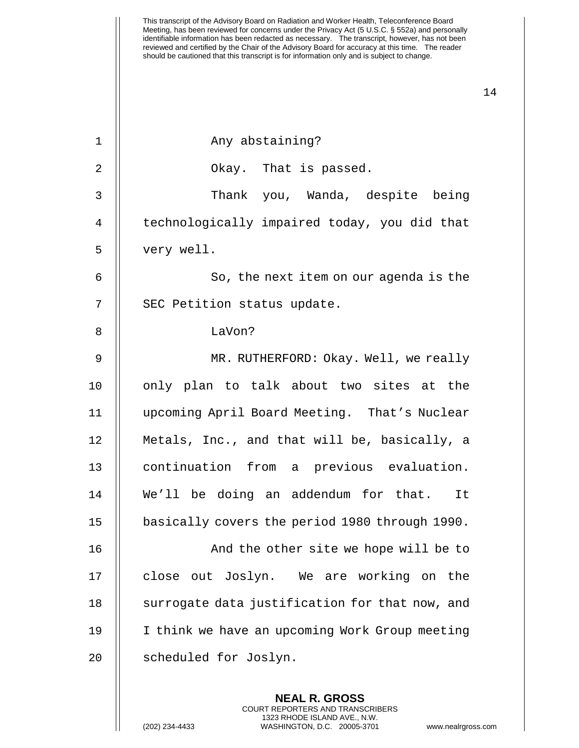| $\mathbf 1$    | Any abstaining?                                |
|----------------|------------------------------------------------|
| 2              | Okay. That is passed.                          |
| 3              | Thank you, Wanda, despite being                |
| $\overline{4}$ | technologically impaired today, you did that   |
| 5              | very well.                                     |
| 6              | So, the next item on our agenda is the         |
| 7              | SEC Petition status update.                    |
| 8              | LaVon?                                         |
| 9              | MR. RUTHERFORD: Okay. Well, we really          |
| 10             | only plan to talk about two sites at the       |
| 11             | upcoming April Board Meeting. That's Nuclear   |
| 12             | Metals, Inc., and that will be, basically, a   |
| 13             | continuation from a previous evaluation.       |
| 14             | We'll be doing an addendum for that. It        |
| 15             | basically covers the period 1980 through 1990. |
| 16             | And the other site we hope will be to          |
| 17             | close out Joslyn. We are working on the        |
| $18\,$         | surrogate data justification for that now, and |
| 19             | I think we have an upcoming Work Group meeting |
| 20             | scheduled for Joslyn.                          |
|                |                                                |

**NEAL R. GROSS** COURT REPORTERS AND TRANSCRIBERS 1323 RHODE ISLAND AVE., N.W.

(202) 234-4433 WASHINGTON, D.C. 20005-3701 www.nealrgross.com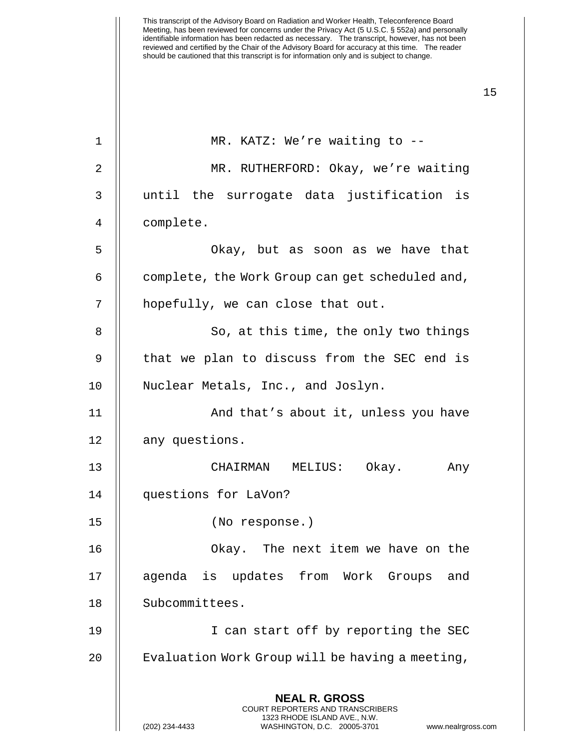| $\mathbf 1$ | MR. KATZ: We're waiting to --                                                                                                                                          |
|-------------|------------------------------------------------------------------------------------------------------------------------------------------------------------------------|
| 2           | MR. RUTHERFORD: Okay, we're waiting                                                                                                                                    |
| 3           | until the surrogate data justification is                                                                                                                              |
| 4           | complete.                                                                                                                                                              |
| 5           | Okay, but as soon as we have that                                                                                                                                      |
| 6           | complete, the Work Group can get scheduled and,                                                                                                                        |
| 7           | hopefully, we can close that out.                                                                                                                                      |
| 8           | So, at this time, the only two things                                                                                                                                  |
| 9           | that we plan to discuss from the SEC end is                                                                                                                            |
| 10          | Nuclear Metals, Inc., and Joslyn.                                                                                                                                      |
| 11          | And that's about it, unless you have                                                                                                                                   |
| 12          | any questions.                                                                                                                                                         |
| 13          | CHAIRMAN MELIUS: Okay. Any                                                                                                                                             |
| 14          | questions for LaVon?                                                                                                                                                   |
| 15          | (No response.)                                                                                                                                                         |
| 16          | Okay. The next item we have on the                                                                                                                                     |
| 17          | agenda is updates from Work Groups and                                                                                                                                 |
| 18          | Subcommittees.                                                                                                                                                         |
| 19          | I can start off by reporting the SEC                                                                                                                                   |
| 20          | Evaluation Work Group will be having a meeting,                                                                                                                        |
|             | <b>NEAL R. GROSS</b><br><b>COURT REPORTERS AND TRANSCRIBERS</b><br>1323 RHODE ISLAND AVE., N.W.<br>(202) 234-4433<br>WASHINGTON, D.C. 20005-3701<br>www.nealrgross.com |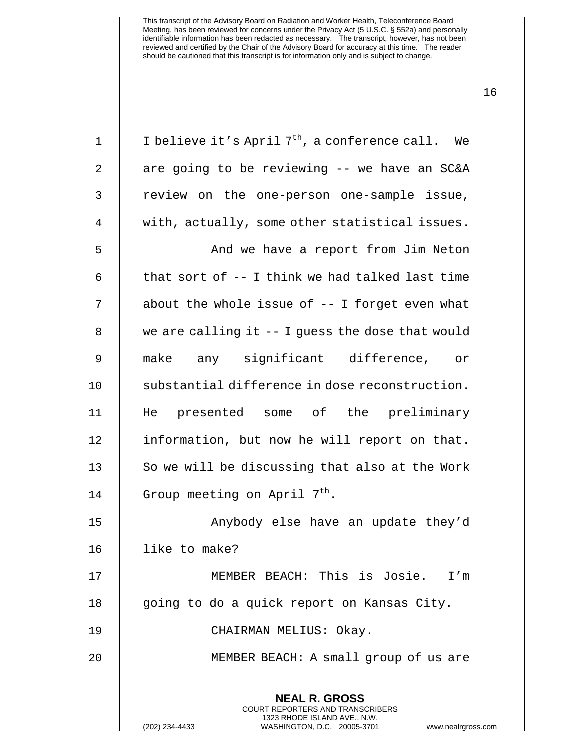| $\mathbf 1$ | I believe it's April 7 <sup>th</sup> , a conference call. We                                                                                                           |
|-------------|------------------------------------------------------------------------------------------------------------------------------------------------------------------------|
| 2           | are going to be reviewing -- we have an SC&A                                                                                                                           |
| 3           | review on the one-person one-sample issue,                                                                                                                             |
| 4           | with, actually, some other statistical issues.                                                                                                                         |
| 5           | And we have a report from Jim Neton                                                                                                                                    |
| 6           | that sort of -- I think we had talked last time                                                                                                                        |
| 7           | about the whole issue of $-$ - I forget even what                                                                                                                      |
| 8           | we are calling it $-$ - I guess the dose that would                                                                                                                    |
| 9           | make any significant difference, or                                                                                                                                    |
| 10          | substantial difference in dose reconstruction.                                                                                                                         |
| 11          | He presented some of the preliminary                                                                                                                                   |
| 12          | information, but now he will report on that.                                                                                                                           |
| 13          | So we will be discussing that also at the Work                                                                                                                         |
| 14          | Group meeting on April 7 <sup>th</sup> .                                                                                                                               |
| 15          | Anybody else have an update they'd                                                                                                                                     |
| 16          | like to make?                                                                                                                                                          |
| 17          | MEMBER BEACH: This is Josie. I'm                                                                                                                                       |
| 18          | going to do a quick report on Kansas City.                                                                                                                             |
| 19          | CHAIRMAN MELIUS: Okay.                                                                                                                                                 |
| 20          | MEMBER BEACH: A small group of us are                                                                                                                                  |
|             | <b>NEAL R. GROSS</b><br><b>COURT REPORTERS AND TRANSCRIBERS</b><br>1323 RHODE ISLAND AVE., N.W.<br>(202) 234-4433<br>WASHINGTON, D.C. 20005-3701<br>www.nealrgross.com |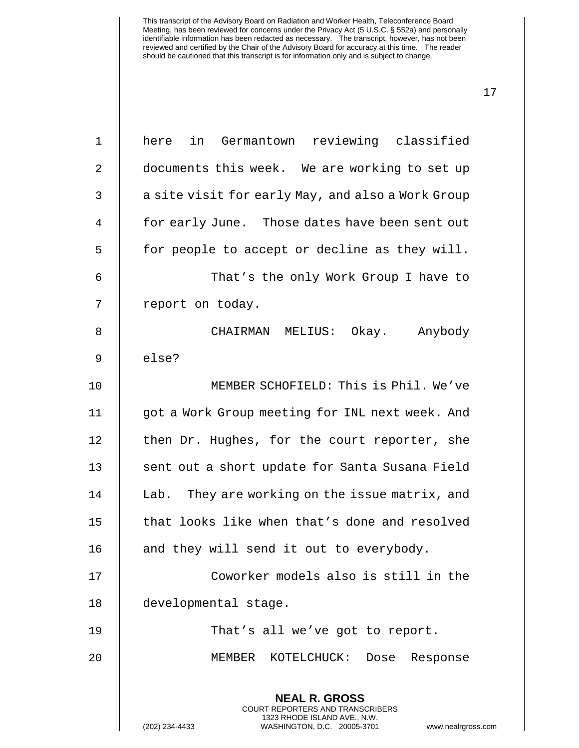| $\mathbf 1$ | here in Germantown reviewing classified                                                                                                                         |
|-------------|-----------------------------------------------------------------------------------------------------------------------------------------------------------------|
| 2           | documents this week. We are working to set up                                                                                                                   |
| 3           | a site visit for early May, and also a Work Group                                                                                                               |
| 4           | for early June. Those dates have been sent out                                                                                                                  |
| 5           | for people to accept or decline as they will.                                                                                                                   |
| 6           | That's the only Work Group I have to                                                                                                                            |
| 7           | report on today.                                                                                                                                                |
| 8           | CHAIRMAN MELIUS: Okay. Anybody                                                                                                                                  |
| 9           | else?                                                                                                                                                           |
| 10          | MEMBER SCHOFIELD: This is Phil. We've                                                                                                                           |
| 11          | got a Work Group meeting for INL next week. And                                                                                                                 |
| 12          | then Dr. Hughes, for the court reporter, she                                                                                                                    |
| 13          | sent out a short update for Santa Susana Field                                                                                                                  |
| 14          | Lab. They are working on the issue matrix, and                                                                                                                  |
| 15          | that looks like when that's done and resolved                                                                                                                   |
| 16          | and they will send it out to everybody.                                                                                                                         |
| 17          | Coworker models also is still in the                                                                                                                            |
| 18          | developmental stage.                                                                                                                                            |
| 19          | That's all we've got to report.                                                                                                                                 |
| 20          | MEMBER KOTELCHUCK: Dose<br>Response                                                                                                                             |
|             | <b>NEAL R. GROSS</b><br>COURT REPORTERS AND TRANSCRIBERS<br>1323 RHODE ISLAND AVE., N.W.<br>(202) 234-4433<br>WASHINGTON, D.C. 20005-3701<br>www.nealrgross.com |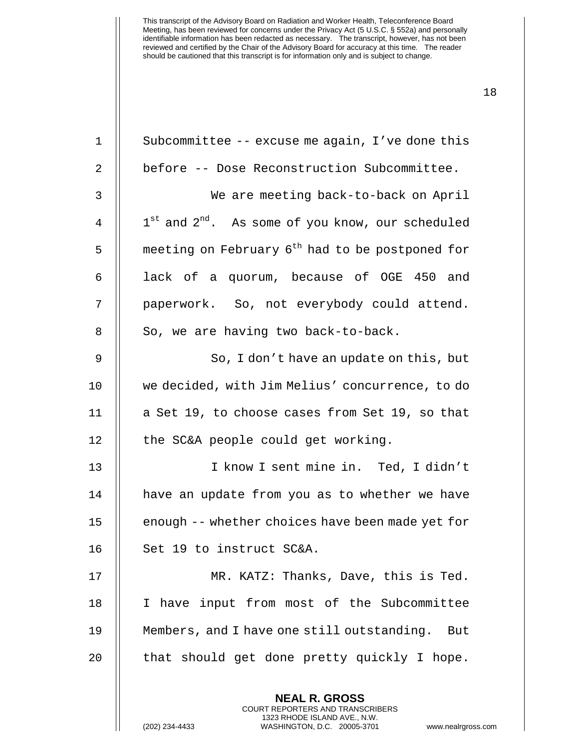| $\mathbf 1$ | Subcommittee -- excuse me again, I've done this                                                                                                                    |
|-------------|--------------------------------------------------------------------------------------------------------------------------------------------------------------------|
| 2           | before -- Dose Reconstruction Subcommittee.                                                                                                                        |
| 3           | We are meeting back-to-back on April                                                                                                                               |
| 4           | $1^{st}$ and $2^{nd}$ . As some of you know, our scheduled                                                                                                         |
| 5           | meeting on February 6 <sup>th</sup> had to be postponed for                                                                                                        |
| 6           | lack of a quorum, because of OGE 450 and                                                                                                                           |
| 7           | paperwork. So, not everybody could attend.                                                                                                                         |
| 8           | So, we are having two back-to-back.                                                                                                                                |
| $\mathsf 9$ | So, I don't have an update on this, but                                                                                                                            |
| 10          | we decided, with Jim Melius' concurrence, to do                                                                                                                    |
| 11          | a Set 19, to choose cases from Set 19, so that                                                                                                                     |
| 12          | the SC&A people could get working.                                                                                                                                 |
| 13          | I know I sent mine in. Ted, I didn't                                                                                                                               |
| 14          | have an update from you as to whether we have                                                                                                                      |
| 15          | enough -- whether choices have been made yet for                                                                                                                   |
| 16          | Set 19 to instruct SC&A.                                                                                                                                           |
| 17          | MR. KATZ: Thanks, Dave, this is Ted.                                                                                                                               |
| 18          | I have input from most of the Subcommittee                                                                                                                         |
| 19          | Members, and I have one still outstanding.<br>But                                                                                                                  |
| 20          | that should get done pretty quickly I hope.                                                                                                                        |
|             | <b>NEAL R. GROSS</b><br><b>COURT REPORTERS AND TRANSCRIBERS</b><br>1323 RHODE ISLAND AVE., N.W.<br>(202) 234-4433<br>WASHINGTON, D.C. 20005-3701<br>www.nealrgross |

(202) 234-4433 WASHINGTON, D.C. 20005-3701 www.nealrgross.com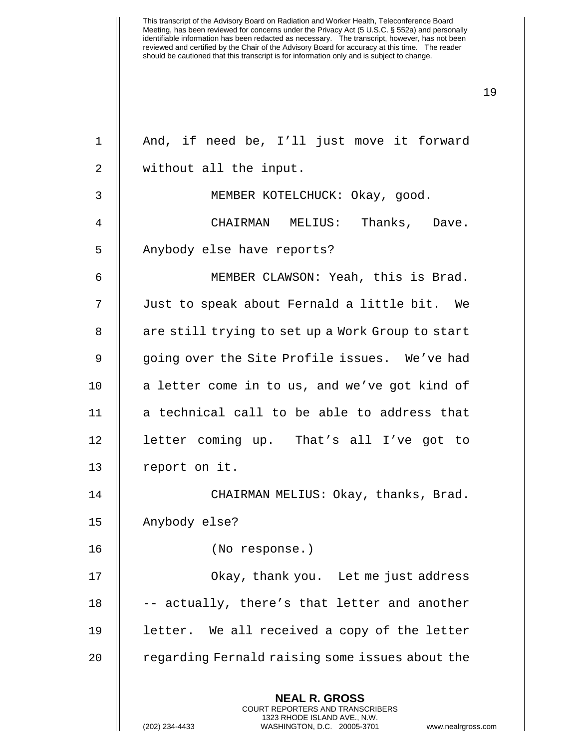**NEAL R. GROSS** COURT REPORTERS AND TRANSCRIBERS 1323 RHODE ISLAND AVE., N.W. 1 || And, if need be, I'll just move it forward 2 || without all the input. 3 || MEMBER KOTELCHUCK: Okay, good. 4 CHAIRMAN MELIUS: Thanks, Dave. 5 || Anybody else have reports? 6 MEMBER CLAWSON: Yeah, this is Brad. 7 Just to speak about Fernald a little bit. We 8 || are still trying to set up a Work Group to start 9 || going over the Site Profile issues. We've had 10 || a letter come in to us, and we've got kind of  $11$   $\parallel$  a technical call to be able to address that 12 || letter coming up. That's all I've got to 13 | report on it. 14 || CHAIRMAN MELIUS: Okay, thanks, Brad. 15 Anybody else? 16 (No response.) 17 || Okay, thank you. Let me just address  $18$   $\parallel$  -- actually, there's that letter and another 19 letter. We all received a copy of the letter 20 | regarding Fernald raising some issues about the

(202) 234-4433 WASHINGTON, D.C. 20005-3701 www.nealrgross.com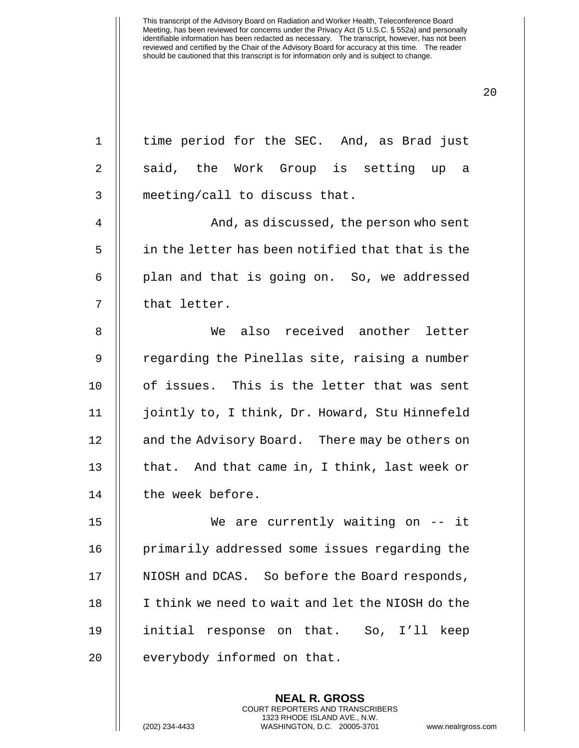1 || time period for the SEC. And, as Brad just

2 || said, the Work Group is setting up a 3 || meeting/call to discuss that. 4 And, as discussed, the person who sent 5 | in the letter has been notified that that is the  $6$  || plan and that is going on. So, we addressed 7 || that letter. 8 We also received another letter 9 || regarding the Pinellas site, raising a number 10 of issues. This is the letter that was sent 11 jointly to, I think, Dr. Howard, Stu Hinnefeld 12 | and the Advisory Board. There may be others on 13  $\parallel$  that. And that came in, I think, last week or 14 || the week before. 15 We are currently waiting on -- it 16 | primarily addressed some issues regarding the 17 | NIOSH and DCAS. So before the Board responds, 18 || I think we need to wait and let the NIOSH do the 19 initial response on that. So, I'll keep  $20$  || everybody informed on that.

> **NEAL R. GROSS** COURT REPORTERS AND TRANSCRIBERS 1323 RHODE ISLAND AVE., N.W.

20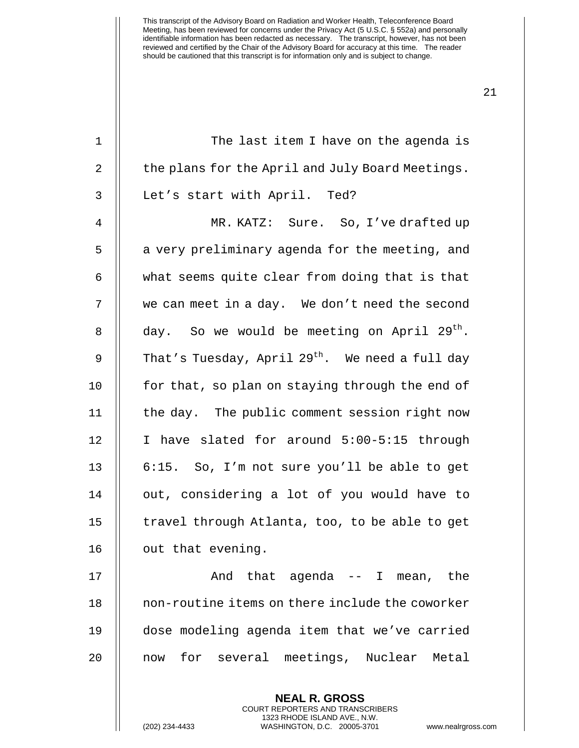| $\mathbf 1$ | The last item I have on the agenda is                                                                                                                             |
|-------------|-------------------------------------------------------------------------------------------------------------------------------------------------------------------|
| 2           | the plans for the April and July Board Meetings.                                                                                                                  |
| 3           | Let's start with April. Ted?                                                                                                                                      |
| 4           | MR. KATZ: Sure. So, I've drafted up                                                                                                                               |
| 5           | a very preliminary agenda for the meeting, and                                                                                                                    |
| 6           | what seems quite clear from doing that is that                                                                                                                    |
| 7           | we can meet in a day. We don't need the second                                                                                                                    |
| 8           | day. So we would be meeting on April 29 <sup>th</sup> .                                                                                                           |
| 9           | That's Tuesday, April $29^{th}$ . We need a full day                                                                                                              |
| 10          | for that, so plan on staying through the end of                                                                                                                   |
| 11          | the day. The public comment session right now                                                                                                                     |
| 12          | I have slated for around 5:00-5:15 through                                                                                                                        |
| 13          | 6:15. So, I'm not sure you'll be able to get                                                                                                                      |
| 14          | out, considering a lot of you would have to                                                                                                                       |
| 15          | travel through Atlanta, too, to be able to get                                                                                                                    |
| 16          | out that evening.                                                                                                                                                 |
| 17          | And that agenda -- I mean, the                                                                                                                                    |
| 18          | non-routine items on there include the coworker                                                                                                                   |
| 19          | dose modeling agenda item that we've carried                                                                                                                      |
| 20          | for several meetings, Nuclear Metal<br>now                                                                                                                        |
|             | <b>NEAL R. GROSS</b><br><b>COURT REPORTERS AND TRANSCRIBERS</b><br>1323 RHODE ISLAND AVE., N.W.<br>(202) 234-4433<br>WASHINGTON, D.C. 20005-3701<br>www.nealrgros |

(202) 234-4433 WASHINGTON, D.C. 20005-3701 www.nealrgross.com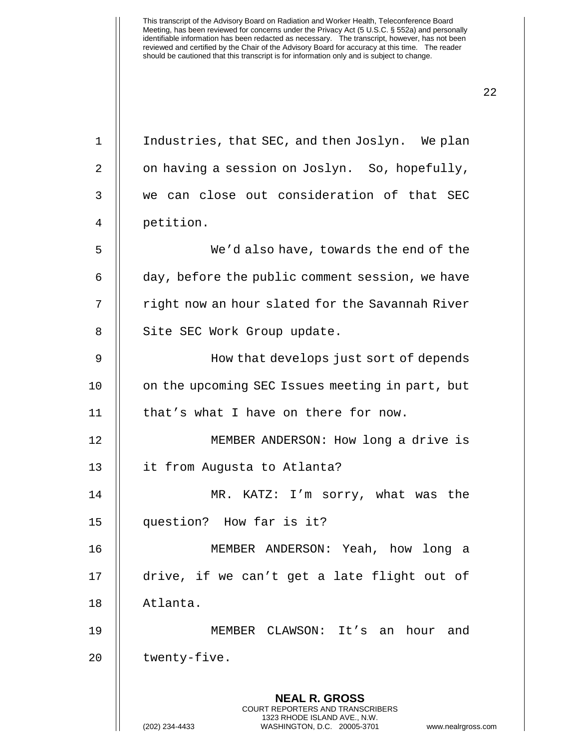**NEAL R. GROSS** COURT REPORTERS AND TRANSCRIBERS 1323 RHODE ISLAND AVE., N.W. 1 | Industries, that SEC, and then Joslyn. We plan 2 | on having a session on Joslyn. So, hopefully, 3 we can close out consideration of that SEC 4 petition. 5 We'd also have, towards the end of the 6 day, before the public comment session, we have 7 || right now an hour slated for the Savannah River 8 || Site SEC Work Group update. 9 || How that develops just sort of depends 10 | on the upcoming SEC Issues meeting in part, but 11 | that's what I have on there for now. 12 || MEMBER ANDERSON: How long a drive is 13 it from Augusta to Atlanta? 14 MR. KATZ: I'm sorry, what was the 15 question? How far is it? 16 MEMBER ANDERSON: Yeah, how long a 17 || drive, if we can't get a late flight out of 18 Atlanta. 19 MEMBER CLAWSON: It's an hour and 20 || twenty-five.

(202) 234-4433 WASHINGTON, D.C. 20005-3701 www.nealrgross.com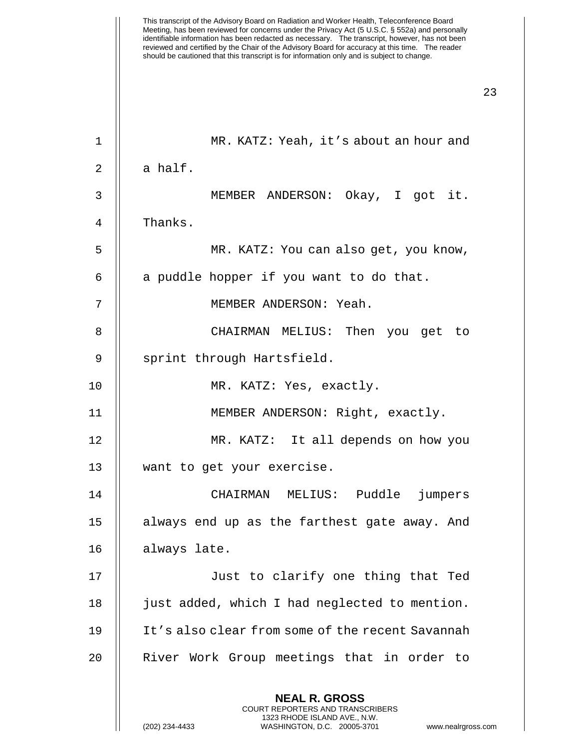| $\mathbf 1$ | MR. KATZ: Yeah, it's about an hour and                                                                                                                                 |
|-------------|------------------------------------------------------------------------------------------------------------------------------------------------------------------------|
| 2           | a half.                                                                                                                                                                |
| 3           | MEMBER ANDERSON: Okay, I got it.                                                                                                                                       |
| 4           | Thanks.                                                                                                                                                                |
| 5           | MR. KATZ: You can also get, you know,                                                                                                                                  |
| 6           | a puddle hopper if you want to do that.                                                                                                                                |
| 7           | MEMBER ANDERSON: Yeah.                                                                                                                                                 |
| 8           | CHAIRMAN MELIUS: Then you get to                                                                                                                                       |
| 9           | sprint through Hartsfield.                                                                                                                                             |
| 10          | MR. KATZ: Yes, exactly.                                                                                                                                                |
| 11          | MEMBER ANDERSON: Right, exactly.                                                                                                                                       |
| 12          | MR. KATZ: It all depends on how you                                                                                                                                    |
| 13          | want to get your exercise.                                                                                                                                             |
| 14          | CHAIRMAN MELIUS: Puddle jumpers                                                                                                                                        |
| 15          | always end up as the farthest gate away. And                                                                                                                           |
| 16          | always late.                                                                                                                                                           |
| 17          | Just to clarify one thing that Ted                                                                                                                                     |
| 18          | just added, which I had neglected to mention.                                                                                                                          |
| 19          | It's also clear from some of the recent Savannah                                                                                                                       |
| 20          | River Work Group meetings that in order to                                                                                                                             |
|             | <b>NEAL R. GROSS</b><br><b>COURT REPORTERS AND TRANSCRIBERS</b><br>1323 RHODE ISLAND AVE., N.W.<br>(202) 234-4433<br>WASHINGTON, D.C. 20005-3701<br>www.nealrgross.com |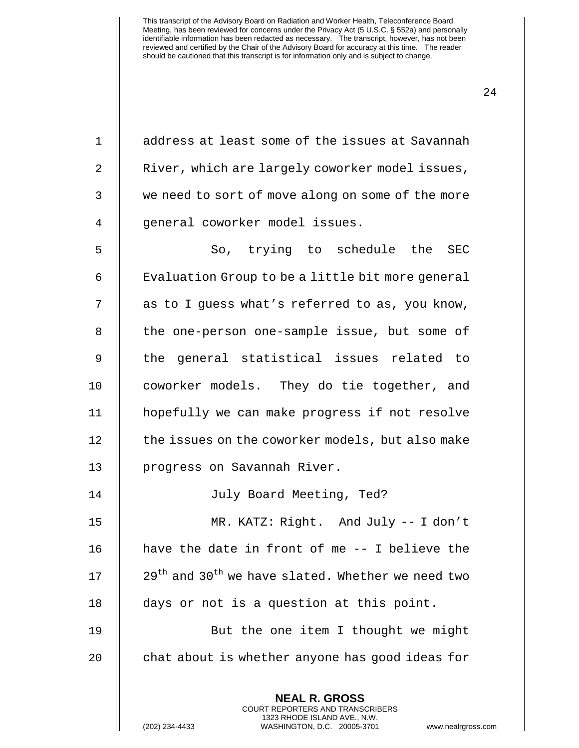1 | address at least some of the issues at Savannah 2 | River, which are largely coworker model issues, 3 we need to sort of move along on some of the more 4 || general coworker model issues.

5 || So, trying to schedule the SEC  $6 \parallel$  Evaluation Group to be a little bit more general 7 || as to I guess what's referred to as, you know, 8 || the one-person one-sample issue, but some of 9 || the general statistical issues related to 10 || coworker models. They do tie together, and 11 hopefully we can make progress if not resolve 12 | the issues on the coworker models, but also make 13 || progress on Savannah River.

14 July Board Meeting, Ted?

 MR. KATZ: Right. And July -- I don't  $\parallel$  have the date in front of me  $-$ - I believe the  $\parallel$  29<sup>th</sup> and 30<sup>th</sup> we have slated. Whether we need two days or not is a question at this point.

19 || But the one item I thought we might 20  $\parallel$  chat about is whether anyone has good ideas for

> **NEAL R. GROSS** COURT REPORTERS AND TRANSCRIBERS 1323 RHODE ISLAND AVE., N.W.

(202) 234-4433 WASHINGTON, D.C. 20005-3701 www.nealrgross.com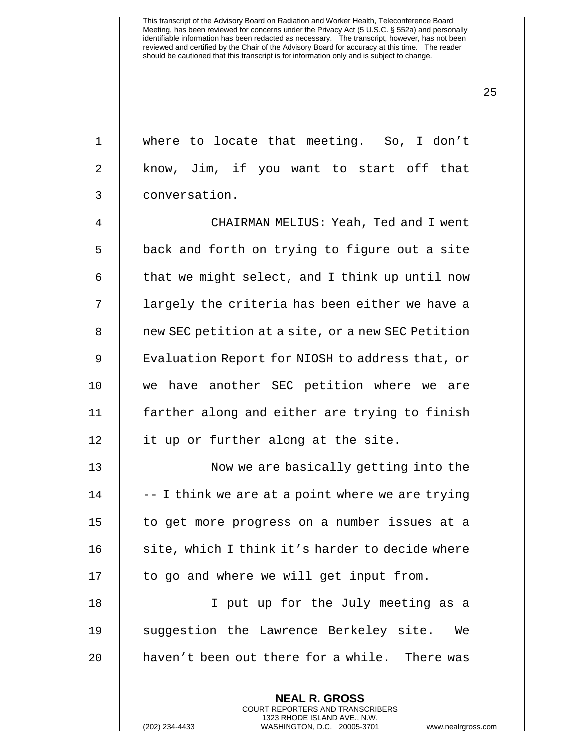1 where to locate that meeting. So, I don't

25

2 || know, Jim, if you want to start off that 3 conversation. 4 CHAIRMAN MELIUS: Yeah, Ted and I went  $5$   $\parallel$  back and forth on trying to figure out a site 6  $\parallel$  that we might select, and I think up until now 7 || largely the criteria has been either we have a 8 | new SEC petition at a site, or a new SEC Petition 9 | Evaluation Report for NIOSH to address that, or 10 || we have another SEC petition where we are 11 || farther along and either are trying to finish 12 || it up or further along at the site. 13 || Now we are basically getting into the  $14$  |  $-$  I think we are at a point where we are trying 15 || to get more progress on a number issues at a 16 || site, which I think it's harder to decide where  $17$   $\parallel$  to go and where we will get input from. 18 I put up for the July meeting as a 19 || suggestion the Lawrence Berkeley site. We 20 || haven't been out there for a while. There was

> **NEAL R. GROSS** COURT REPORTERS AND TRANSCRIBERS 1323 RHODE ISLAND AVE., N.W.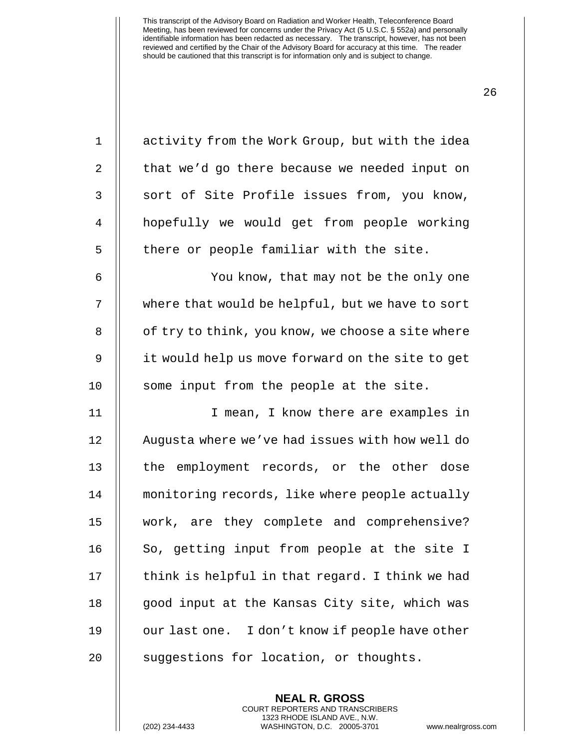| $\mathbf 1$    | activity from the Work Group, but with the idea   |
|----------------|---------------------------------------------------|
| 2              | that we'd go there because we needed input on     |
| $\mathfrak{Z}$ | sort of Site Profile issues from, you know,       |
| $\overline{4}$ | hopefully we would get from people working        |
| 5              | there or people familiar with the site.           |
| 6              | You know, that may not be the only one            |
| 7              | where that would be helpful, but we have to sort  |
| 8              | of try to think, you know, we choose a site where |
| 9              | it would help us move forward on the site to get  |
| 10             | some input from the people at the site.           |
| 11             | I mean, I know there are examples in              |
| 12             | Augusta where we've had issues with how well do   |
| 13             | the employment records, or the other dose         |
| 14             | monitoring records, like where people actually    |
| 15             | work, are they complete and comprehensive?        |
| 16             | So, getting input from people at the site I       |
| 17             | think is helpful in that regard. I think we had   |
| 18             | good input at the Kansas City site, which was     |
| 19             | our last one. I don't know if people have other   |
| 20             | suggestions for location, or thoughts.            |

**NEAL R. GROSS** COURT REPORTERS AND TRANSCRIBERS 1323 RHODE ISLAND AVE., N.W.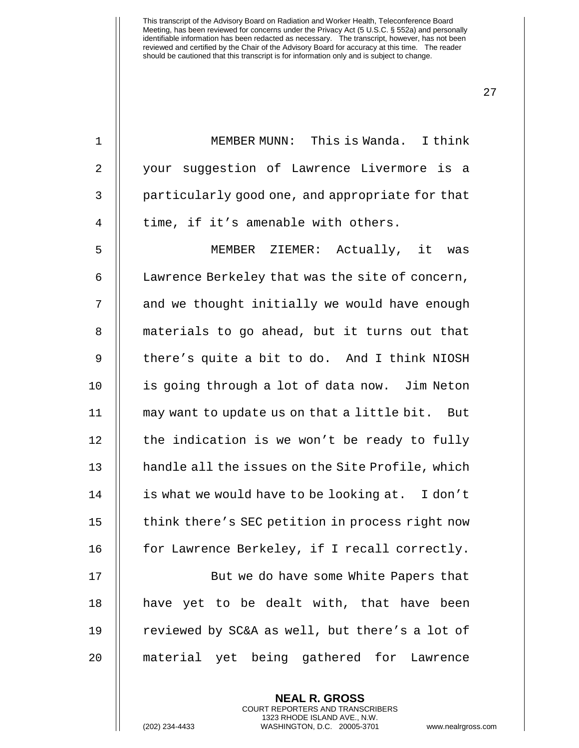| $\mathbf{1}$   | MEMBER MUNN: This is Wanda. I think              |
|----------------|--------------------------------------------------|
| 2              | your suggestion of Lawrence Livermore is a       |
| $\mathfrak{Z}$ | particularly good one, and appropriate for that  |
| 4              | time, if it's amenable with others.              |
| 5              | MEMBER ZIEMER: Actually, it was                  |
| 6              | Lawrence Berkeley that was the site of concern,  |
| 7              | and we thought initially we would have enough    |
| 8              | materials to go ahead, but it turns out that     |
| 9              | there's quite a bit to do. And I think NIOSH     |
| 10             | is going through a lot of data now. Jim Neton    |
| 11             | may want to update us on that a little bit. But  |
| 12             | the indication is we won't be ready to fully     |
| 13             | handle all the issues on the Site Profile, which |
| 14             | is what we would have to be looking at. I don't  |
| 15             | think there's SEC petition in process right now  |
| 16             | for Lawrence Berkeley, if I recall correctly.    |
| 17             | But we do have some White Papers that            |
| 18             | have yet to be dealt with, that have been        |
| 19             | reviewed by SC&A as well, but there's a lot of   |
| 20             | material yet being gathered for Lawrence         |
|                |                                                  |

**NEAL R. GROSS** COURT REPORTERS AND TRANSCRIBERS 1323 RHODE ISLAND AVE., N.W.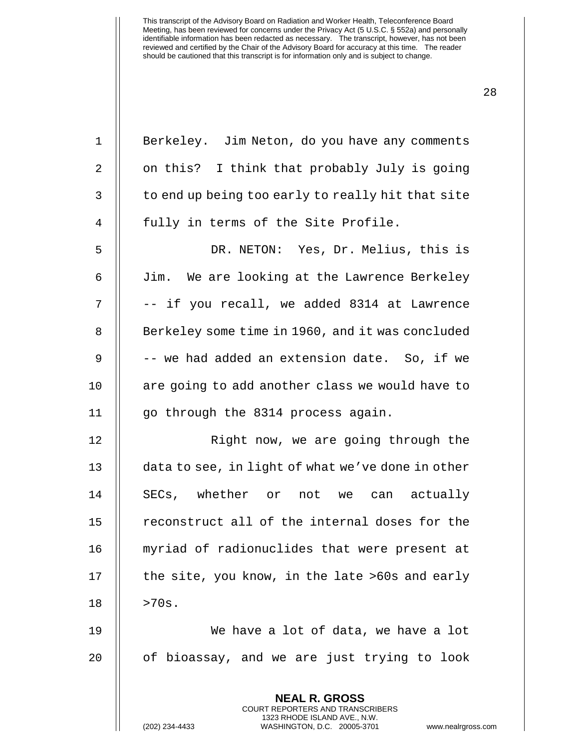| $\mathbf 1$    | Berkeley. Jim Neton, do you have any comments     |
|----------------|---------------------------------------------------|
| 2              | on this? I think that probably July is going      |
| 3              | to end up being too early to really hit that site |
| $\overline{4}$ | fully in terms of the Site Profile.               |
| 5              | DR. NETON: Yes, Dr. Melius, this is               |
| 6              | Jim. We are looking at the Lawrence Berkeley      |
| 7              | -- if you recall, we added 8314 at Lawrence       |
| 8              | Berkeley some time in 1960, and it was concluded  |
| $\mathsf 9$    | -- we had added an extension date. So, if we      |
| 10             | are going to add another class we would have to   |
| 11             | go through the 8314 process again.                |
| 12             | Right now, we are going through the               |
| 13             | data to see, in light of what we've done in other |
| 14             | SECs, whether or not we can actually              |
| 15             | reconstruct all of the internal doses for the     |
| 16             | myriad of radionuclides that were present at      |
| 17             | the site, you know, in the late >60s and early    |
| 18             | >70s.                                             |
| 19             | We have a lot of data, we have a lot              |
| 20             | of bioassay, and we are just trying to look       |
|                | <b>NEAL R. GROSS</b>                              |

COURT REPORTERS AND TRANSCRIBERS 1323 RHODE ISLAND AVE., N.W.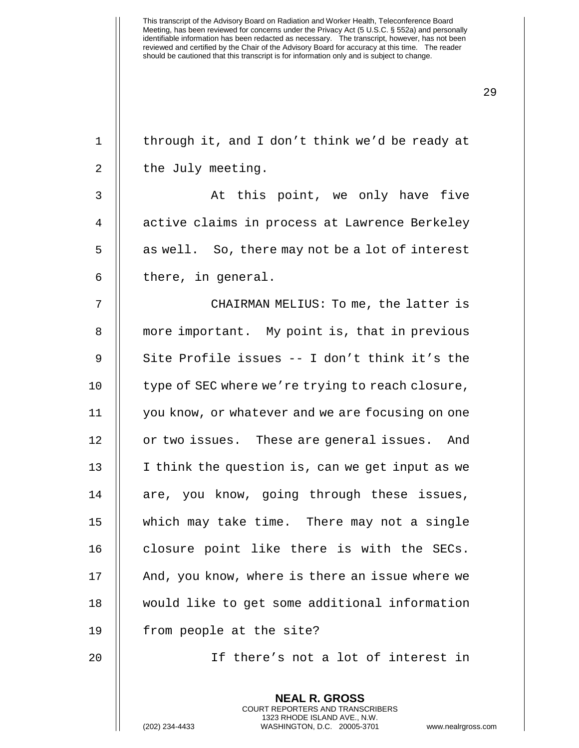| $\mathbf 1$    | through it, and I don't think we'd be ready at                                                                                                              |
|----------------|-------------------------------------------------------------------------------------------------------------------------------------------------------------|
| $\overline{2}$ | the July meeting.                                                                                                                                           |
| $\mathsf 3$    | At this point, we only have five                                                                                                                            |
| $\overline{4}$ | active claims in process at Lawrence Berkeley                                                                                                               |
| 5              | as well. So, there may not be a lot of interest                                                                                                             |
| 6              | there, in general.                                                                                                                                          |
| 7              | CHAIRMAN MELIUS: To me, the latter is                                                                                                                       |
| 8              | more important. My point is, that in previous                                                                                                               |
| 9              | Site Profile issues -- I don't think it's the                                                                                                               |
| 10             | type of SEC where we're trying to reach closure,                                                                                                            |
| 11             | you know, or whatever and we are focusing on one                                                                                                            |
| 12             | or two issues. These are general issues. And                                                                                                                |
| 13             | I think the question is, can we get input as we                                                                                                             |
| 14             | are, you know, going through these issues,                                                                                                                  |
| 15             | which may take time. There may not a single                                                                                                                 |
| 16             | closure point like there is with the SECs.                                                                                                                  |
| 17             | And, you know, where is there an issue where we                                                                                                             |
| 18             | would like to get some additional information                                                                                                               |
| 19             | from people at the site?                                                                                                                                    |
| 20             | If there's not a lot of interest in                                                                                                                         |
|                | <b>NEAL R. GROSS</b><br>COURT REPORTERS AND TRANSCRIBERS<br>1323 RHODE ISLAND AVE., N.W.<br>WASHINGTON, D.C. 20005-3701<br>(202) 234-4433<br>www.nealrgross |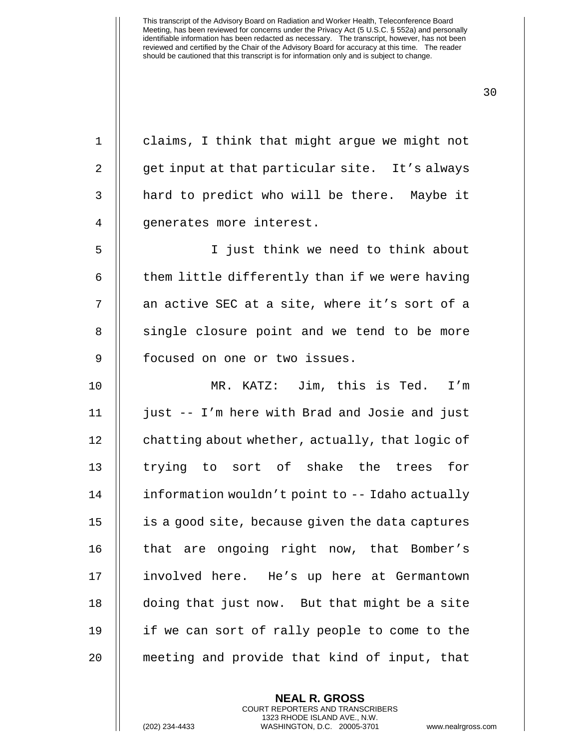1 || claims, I think that might argue we might not 2 || get input at that particular site. It's always 3 || hard to predict who will be there. Maybe it 4 || generates more interest. 5 I just think we need to think about  $6$   $\parallel$  them little differently than if we were having 7 || an active SEC at a site, where it's sort of a 8 || single closure point and we tend to be more 9 || focused on one or two issues. 10 MR. KATZ: Jim, this is Ted. I'm 11 just -- I'm here with Brad and Josie and just 12 | chatting about whether, actually, that logic of 13 || trying to sort of shake the trees for 14 information wouldn't point to -- Idaho actually 15 is a good site, because given the data captures 16 || that are ongoing right now, that Bomber's 17 || involved here. He's up here at Germantown 18 doing that just now. But that might be a site 19 if we can sort of rally people to come to the 20 meeting and provide that kind of input, that

> **NEAL R. GROSS** COURT REPORTERS AND TRANSCRIBERS 1323 RHODE ISLAND AVE., N.W.

(202) 234-4433 WASHINGTON, D.C. 20005-3701 www.nealrgross.com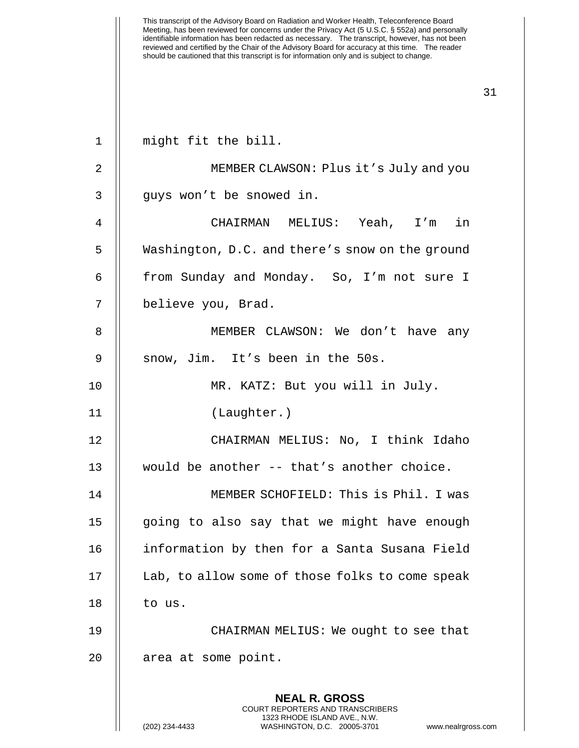**NEAL R. GROSS** COURT REPORTERS AND TRANSCRIBERS 1323 RHODE ISLAND AVE., N.W. 1 || might fit the bill. 2 MEMBER CLAWSON: Plus it's July and you 3 || guys won't be snowed in. 4 CHAIRMAN MELIUS: Yeah, I'm in 5 Washington, D.C. and there's snow on the ground 6 | from Sunday and Monday. So, I'm not sure I 7 believe you, Brad. 8 MEMBER CLAWSON: We don't have any 9 || snow, Jim. It's been in the 50s. 10 MR. KATZ: But you will in July. 11 (Laughter.) 12 CHAIRMAN MELIUS: No, I think Idaho 13 would be another -- that's another choice. 14 MEMBER SCHOFIELD: This is Phil. I was 15 || going to also say that we might have enough 16 | information by then for a Santa Susana Field 17 | Lab, to allow some of those folks to come speak  $18$  | to us. 19 CHAIRMAN MELIUS: We ought to see that 20 | area at some point.

(202) 234-4433 WASHINGTON, D.C. 20005-3701 www.nealrgross.com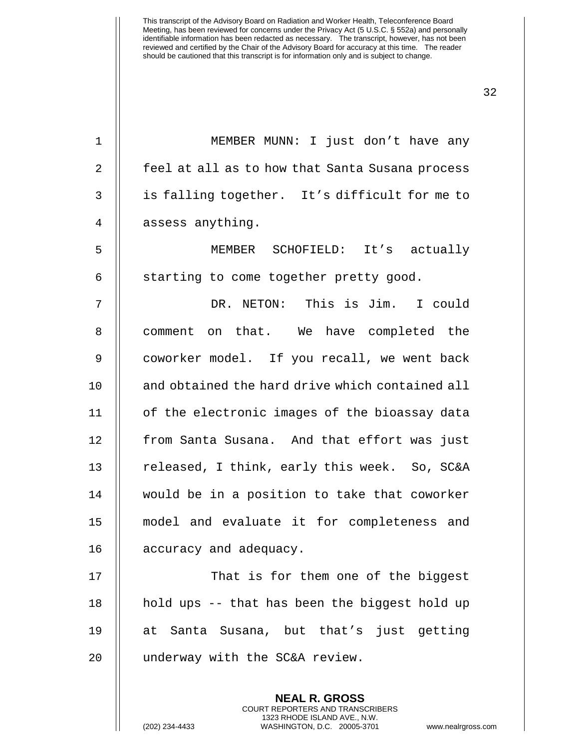1 || MEMBER MUNN: I just don't have any 2 || feel at all as to how that Santa Susana process 3 || is falling together. It's difficult for me to 4 || assess anything.

5 MEMBER SCHOFIELD: It's actually  $6$  || starting to come together pretty good.

7 DR. NETON: This is Jim. I could 8 || comment on that. We have completed the 9 || coworker model. If you recall, we went back 10 || and obtained the hard drive which contained all 11 || of the electronic images of the bioassay data 12 || from Santa Susana. And that effort was just 13  $\parallel$  released, I think, early this week. So, SC&A 14 would be in a position to take that coworker 15 model and evaluate it for completeness and 16 | accuracy and adequacy.

17 || That is for them one of the biggest 18  $\parallel$  hold ups -- that has been the biggest hold up 19 at Santa Susana, but that's just getting 20 | underway with the SC&A review.

> **NEAL R. GROSS** COURT REPORTERS AND TRANSCRIBERS 1323 RHODE ISLAND AVE., N.W.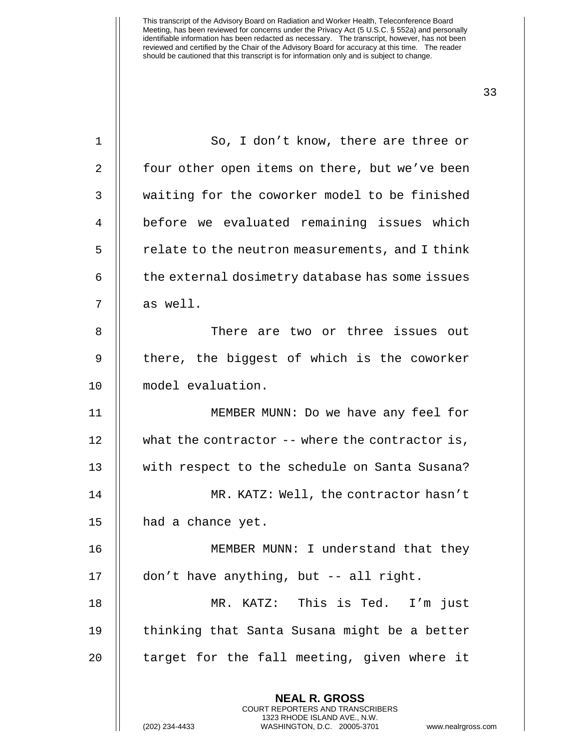| $\mathbf 1$ | So, I don't know, there are three or                     |
|-------------|----------------------------------------------------------|
| 2           | four other open items on there, but we've been           |
| 3           | waiting for the coworker model to be finished            |
| 4           | before we evaluated remaining issues which               |
| 5           | relate to the neutron measurements, and I think          |
| 6           | the external dosimetry database has some issues          |
| 7           | as well.                                                 |
| 8           | There are two or three issues out                        |
| 9           | there, the biggest of which is the coworker              |
| 10          | model evaluation.                                        |
| 11          | MEMBER MUNN: Do we have any feel for                     |
| 12          | what the contractor $-$ - where the contractor is,       |
| 13          | with respect to the schedule on Santa Susana?            |
| 14          | MR. KATZ: Well, the contractor hasn't                    |
| 15          | had a chance yet.                                        |
| 16          | MEMBER MUNN: I understand that they                      |
| 17          | don't have anything, but -- all right.                   |
| 18          | MR. KATZ: This is Ted.<br>I'm just                       |
| 19          | thinking that Santa Susana might be a better             |
| 20          | target for the fall meeting, given where it              |
|             | <b>NEAL R. GROSS</b><br>COURT REPORTERS AND TRANSCRIBERS |

1323 RHODE ISLAND AVE., N.W.

 $\begin{array}{c} \hline \end{array}$ 

(202) 234-4433 WASHINGTON, D.C. 20005-3701 www.nealrgross.com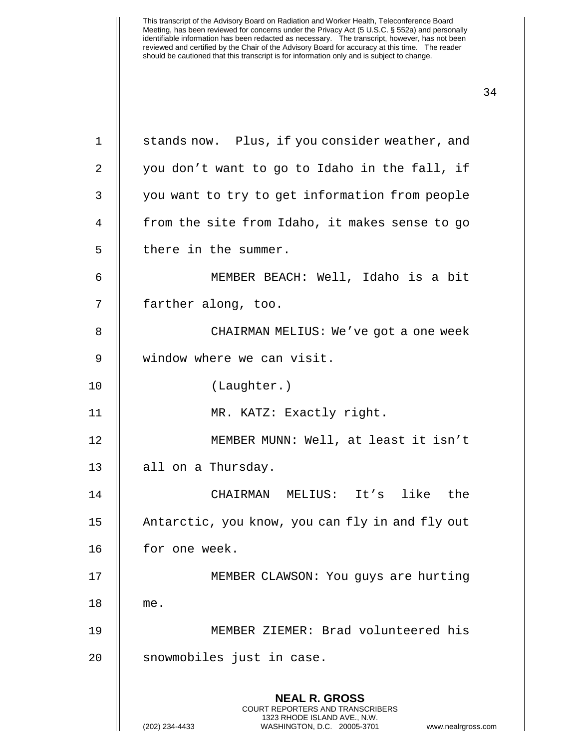| $\mathbf 1$    | stands now. Plus, if you consider weather, and                                                                                                                         |
|----------------|------------------------------------------------------------------------------------------------------------------------------------------------------------------------|
| $\overline{2}$ | you don't want to go to Idaho in the fall, if                                                                                                                          |
| 3              | you want to try to get information from people                                                                                                                         |
| 4              | from the site from Idaho, it makes sense to go                                                                                                                         |
| 5              | there in the summer.                                                                                                                                                   |
| 6              | MEMBER BEACH: Well, Idaho is a bit                                                                                                                                     |
| 7              | farther along, too.                                                                                                                                                    |
| 8              | CHAIRMAN MELIUS: We've got a one week                                                                                                                                  |
| 9              | window where we can visit.                                                                                                                                             |
| 10             | (Laughter.)                                                                                                                                                            |
| 11             | MR. KATZ: Exactly right.                                                                                                                                               |
| 12             | MEMBER MUNN: Well, at least it isn't                                                                                                                                   |
| 13             | all on a Thursday.                                                                                                                                                     |
| 14             | CHAIRMAN MELIUS: It's like the                                                                                                                                         |
| 15             | Antarctic, you know, you can fly in and fly out                                                                                                                        |
| 16             | for one week                                                                                                                                                           |
| 17             | MEMBER CLAWSON: You guys are hurting                                                                                                                                   |
| 18             | me.                                                                                                                                                                    |
| 19             | MEMBER ZIEMER: Brad volunteered his                                                                                                                                    |
| 20             | snowmobiles just in case.                                                                                                                                              |
|                | <b>NEAL R. GROSS</b><br><b>COURT REPORTERS AND TRANSCRIBERS</b><br>1323 RHODE ISLAND AVE., N.W.<br>WASHINGTON, D.C. 20005-3701<br>(202) 234-4433<br>www.nealrgross.com |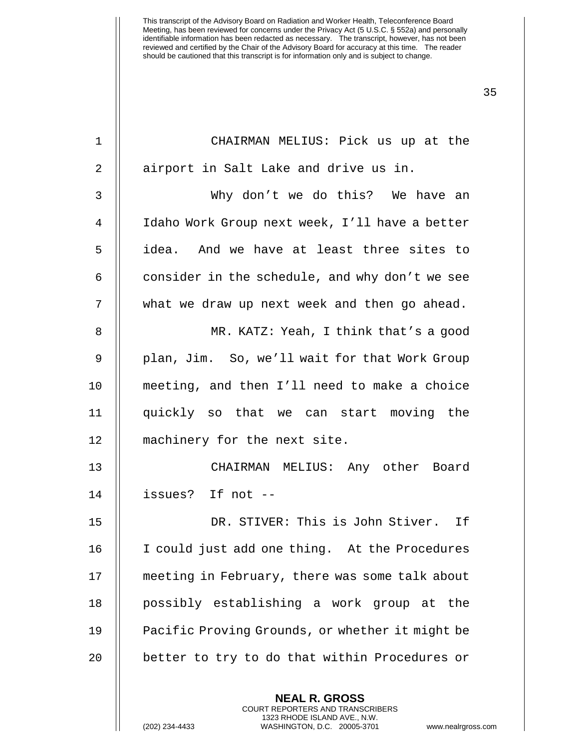| $\mathbf 1$    | CHAIRMAN MELIUS: Pick us up at the              |
|----------------|-------------------------------------------------|
| $\overline{2}$ | airport in Salt Lake and drive us in.           |
| 3              | Why don't we do this? We have an                |
| 4              | Idaho Work Group next week, I'll have a better  |
| 5              | idea. And we have at least three sites to       |
| 6              | consider in the schedule, and why don't we see  |
| 7              | what we draw up next week and then go ahead.    |
| 8              | MR. KATZ: Yeah, I think that's a good           |
| 9              | plan, Jim. So, we'll wait for that Work Group   |
| 10             | meeting, and then I'll need to make a choice    |
| 11             | quickly so that we can start moving the         |
| 12             | machinery for the next site.                    |
| 13             | CHAIRMAN MELIUS: Any other Board                |
| 14             | issues? If not --                               |
| 15             | DR. STIVER: This is John Stiver. If             |
| 16             | I could just add one thing. At the Procedures   |
| 17             | meeting in February, there was some talk about  |
| 18             | possibly establishing a work group at the       |
| 19             | Pacific Proving Grounds, or whether it might be |
| 20             | better to try to do that within Procedures or   |
|                | <b>NEAL R. GROSS</b>                            |

COURT REPORTERS AND TRANSCRIBERS 1323 RHODE ISLAND AVE., N.W.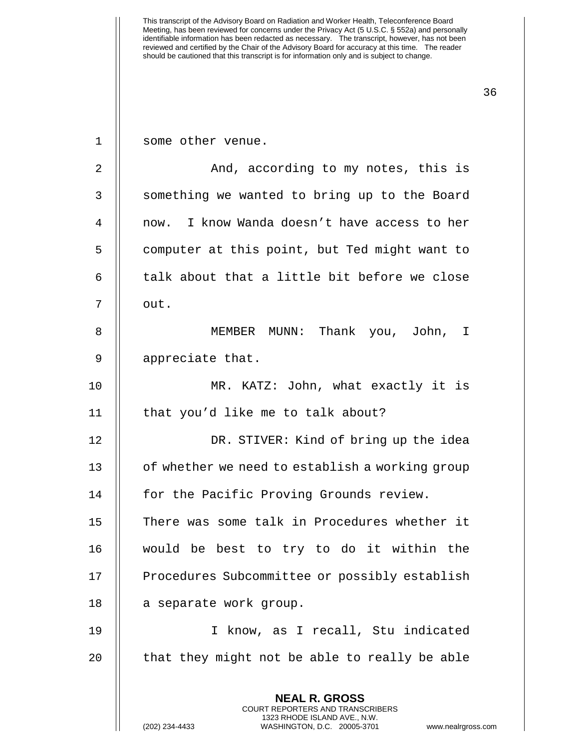**NEAL R. GROSS** COURT REPORTERS AND TRANSCRIBERS 1323 RHODE ISLAND AVE., N.W. 1 || some other venue. 2 | And, according to my notes, this is 3 || something we wanted to bring up to the Board 4 now. I know Wanda doesn't have access to her 5 | computer at this point, but Ted might want to 6  $\parallel$  talk about that a little bit before we close 7 II out. 8 MEMBER MUNN: Thank you, John, I 9 || appreciate that. 10 MR. KATZ: John, what exactly it is 11 || that you'd like me to talk about? 12 DR. STIVER: Kind of bring up the idea 13 | of whether we need to establish a working group 14 | for the Pacific Proving Grounds review. 15 There was some talk in Procedures whether it 16 would be best to try to do it within the 17 | Procedures Subcommittee or possibly establish 18 | a separate work group. 19 I know, as I recall, Stu indicated 20  $\parallel$  that they might not be able to really be able

(202) 234-4433 WASHINGTON, D.C. 20005-3701 www.nealrgross.com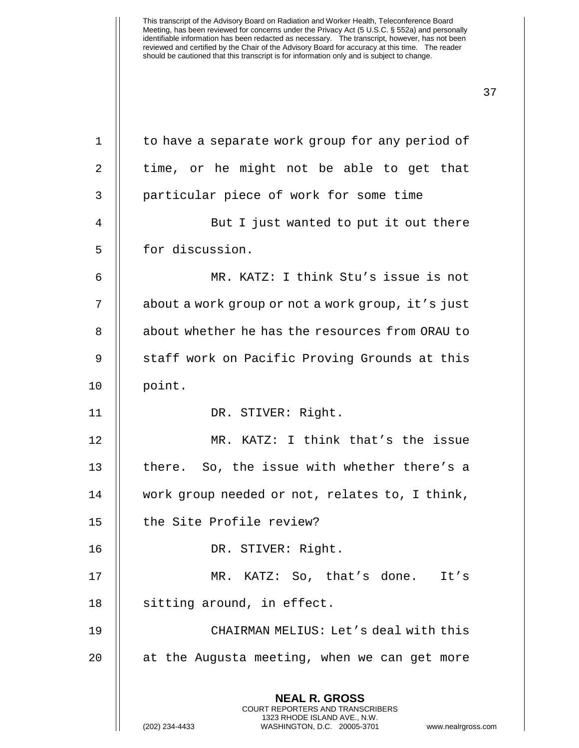**NEAL R. GROSS** COURT REPORTERS AND TRANSCRIBERS 1323 RHODE ISLAND AVE., N.W. (202) 234-4433 WASHINGTON, D.C. 20005-3701 www.nealrgross.com 1 | to have a separate work group for any period of  $2 \parallel$  time, or he might not be able to get that 3 || particular piece of work for some time 4 || But I just wanted to put it out there 5 | for discussion. 6 MR. KATZ: I think Stu's issue is not 7 | about a work group or not a work group, it's just 8 || about whether he has the resources from ORAU to 9 || staff work on Pacific Proving Grounds at this 10 || point. 11 || DR. STIVER: Right. 12 MR. KATZ: I think that's the issue 13  $\parallel$  there. So, the issue with whether there's a 14 work group needed or not, relates to, I think, 15 || the Site Profile review? 16 DR. STIVER: Right. 17 || MR. KATZ: So, that's done. It's 18 | sitting around, in effect. 19 CHAIRMAN MELIUS: Let's deal with this 20 || at the Augusta meeting, when we can get more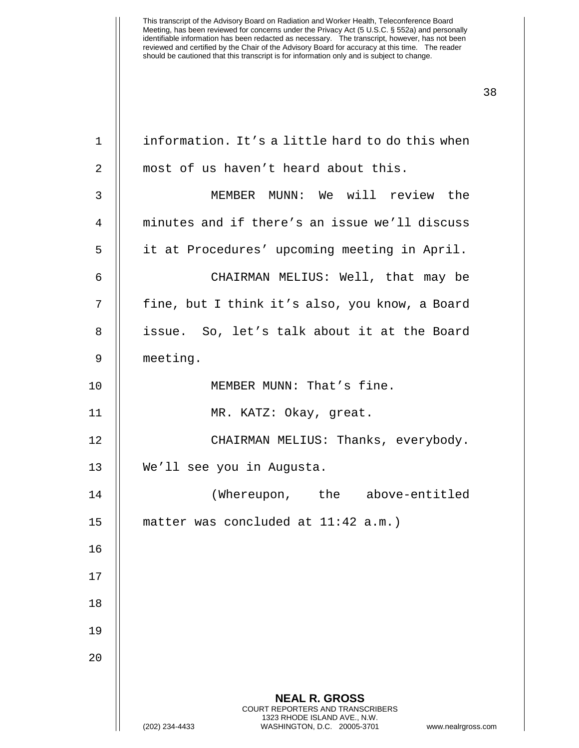| $\mathbf 1$  | information. It's a little hard to do this when                                                                                                                 |
|--------------|-----------------------------------------------------------------------------------------------------------------------------------------------------------------|
| 2            | most of us haven't heard about this.                                                                                                                            |
| $\mathsf{3}$ | MEMBER MUNN: We will review the                                                                                                                                 |
| 4            | minutes and if there's an issue we'll discuss                                                                                                                   |
| 5            | it at Procedures' upcoming meeting in April.                                                                                                                    |
| 6            | CHAIRMAN MELIUS: Well, that may be                                                                                                                              |
| 7            | fine, but I think it's also, you know, a Board                                                                                                                  |
| 8            | issue. So, let's talk about it at the Board                                                                                                                     |
| 9            | meeting.                                                                                                                                                        |
| 10           | MEMBER MUNN: That's fine.                                                                                                                                       |
| 11           | MR. KATZ: Okay, great.                                                                                                                                          |
| 12           | CHAIRMAN MELIUS: Thanks, everybody.                                                                                                                             |
| 13           | We'll see you in Augusta.                                                                                                                                       |
| 14           | (Whereupon, the above-entitled                                                                                                                                  |
| 15           | matter was concluded at $11:42$ a.m.)                                                                                                                           |
| 16           |                                                                                                                                                                 |
| 17           |                                                                                                                                                                 |
| 18           |                                                                                                                                                                 |
| 19           |                                                                                                                                                                 |
| 20           |                                                                                                                                                                 |
|              | <b>NEAL R. GROSS</b><br>COURT REPORTERS AND TRANSCRIBERS<br>1323 RHODE ISLAND AVE., N.W.<br>WASHINGTON, D.C. 20005-3701<br>(202) 234-4433<br>www.nealrgross.com |